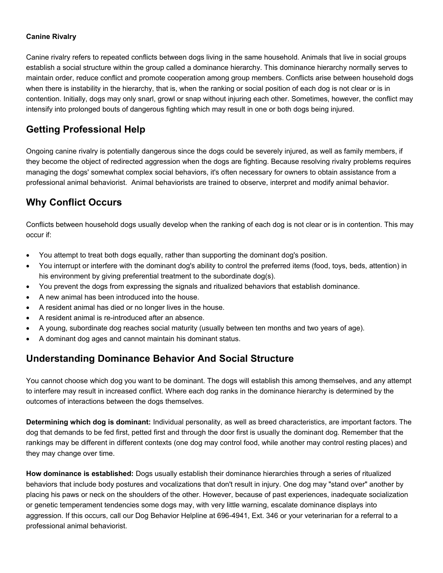#### **Canine Rivalry**

Canine rivalry refers to repeated conflicts between dogs living in the same household. Animals that live in social groups establish a social structure within the group called a dominance hierarchy. This dominance hierarchy normally serves to maintain order, reduce conflict and promote cooperation among group members. Conflicts arise between household dogs when there is instability in the hierarchy, that is, when the ranking or social position of each dog is not clear or is in contention. Initially, dogs may only snarl, growl or snap without injuring each other. Sometimes, however, the conflict may intensify into prolonged bouts of dangerous fighting which may result in one or both dogs being injured.

### **Getting Professional Help**

Ongoing canine rivalry is potentially dangerous since the dogs could be severely injured, as well as family members, if they become the object of redirected aggression when the dogs are fighting. Because resolving rivalry problems requires managing the dogs' somewhat complex social behaviors, it's often necessary for owners to obtain assistance from a professional animal behaviorist. Animal behaviorists are trained to observe, interpret and modify animal behavior.

### **Why Conflict Occurs**

Conflicts between household dogs usually develop when the ranking of each dog is not clear or is in contention. This may occur if:

- You attempt to treat both dogs equally, rather than supporting the dominant dog's position.
- You interrupt or interfere with the dominant dog's ability to control the preferred items (food, toys, beds, attention) in his environment by giving preferential treatment to the subordinate dog(s).
- You prevent the dogs from expressing the signals and ritualized behaviors that establish dominance.
- A new animal has been introduced into the house.
- A resident animal has died or no longer lives in the house.
- A resident animal is re-introduced after an absence.
- A young, subordinate dog reaches social maturity (usually between ten months and two years of age).
- A dominant dog ages and cannot maintain his dominant status.

#### **Understanding Dominance Behavior And Social Structure**

You cannot choose which dog you want to be dominant. The dogs will establish this among themselves, and any attempt to interfere may result in increased conflict. Where each dog ranks in the dominance hierarchy is determined by the outcomes of interactions between the dogs themselves.

**Determining which dog is dominant:** Individual personality, as well as breed characteristics, are important factors. The dog that demands to be fed first, petted first and through the door first is usually the dominant dog. Remember that the rankings may be different in different contexts (one dog may control food, while another may control resting places) and they may change over time.

**How dominance is established:** Dogs usually establish their dominance hierarchies through a series of ritualized behaviors that include body postures and vocalizations that don't result in injury. One dog may "stand over" another by placing his paws or neck on the shoulders of the other. However, because of past experiences, inadequate socialization or genetic temperament tendencies some dogs may, with very little warning, escalate dominance displays into aggression. If this occurs, call our Dog Behavior Helpline at 696-4941, Ext. 346 or your veterinarian for a referral to a professional animal behaviorist.